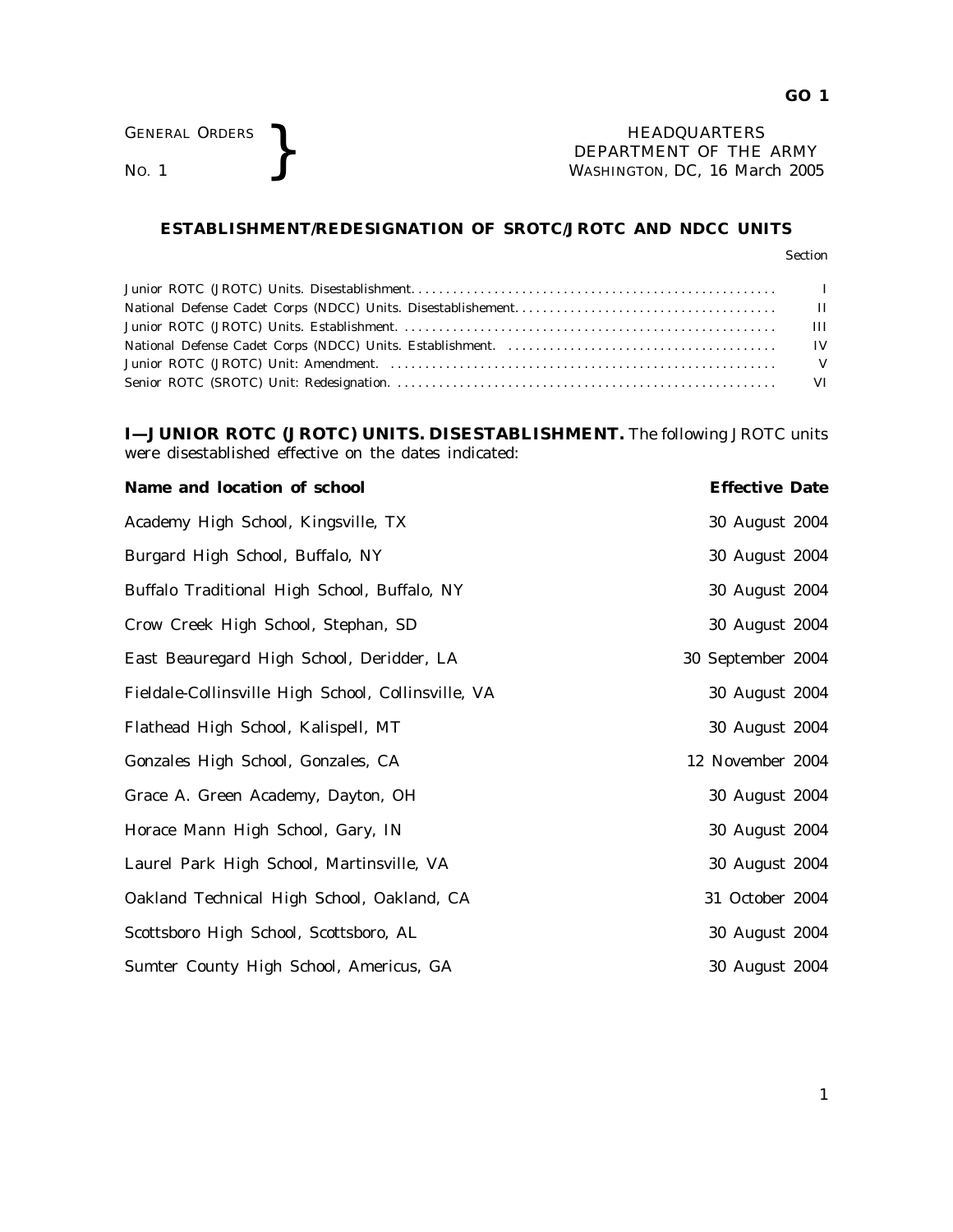GENERAL ORDERS **REAL ORDERS** HEADQUARTERS **NO. 1 HEADQUARTERS DEPARTMENT** OF THE **NO.** 1 **WASHINGTON, DC, 16 Mar** DEPARTMENT OF THE ARMY WASHINGTON, DC, *16 March 2005*

## **ESTABLISHMENT/REDESIGNATION OF SROTC/JROTC AND NDCC UNITS**

## Section

**I—JUNIOR ROTC (JROTC) UNITS. DISESTABLISHMENT.** The following JROTC units were disestablished effective on the dates indicated:

| Name and location of school                         | <b>Effective Date</b> |  |
|-----------------------------------------------------|-----------------------|--|
| Academy High School, Kingsville, TX                 | 30 August 2004        |  |
| Burgard High School, Buffalo, NY                    | 30 August 2004        |  |
| Buffalo Traditional High School, Buffalo, NY        | 30 August 2004        |  |
| Crow Creek High School, Stephan, SD                 | 30 August 2004        |  |
| East Beauregard High School, Deridder, LA           | 30 September 2004     |  |
| Fieldale-Collinsville High School, Collinsville, VA | 30 August 2004        |  |
| Flathead High School, Kalispell, MT                 | 30 August 2004        |  |
| Gonzales High School, Gonzales, CA                  | 12 November 2004      |  |
| Grace A. Green Academy, Dayton, OH                  | 30 August 2004        |  |
| Horace Mann High School, Gary, IN                   | 30 August 2004        |  |
| Laurel Park High School, Martinsville, VA           | 30 August 2004        |  |
| Oakland Technical High School, Oakland, CA          | 31 October 2004       |  |
| Scottsboro High School, Scottsboro, AL              | 30 August 2004        |  |
| Sumter County High School, Americus, GA             | 30 August 2004        |  |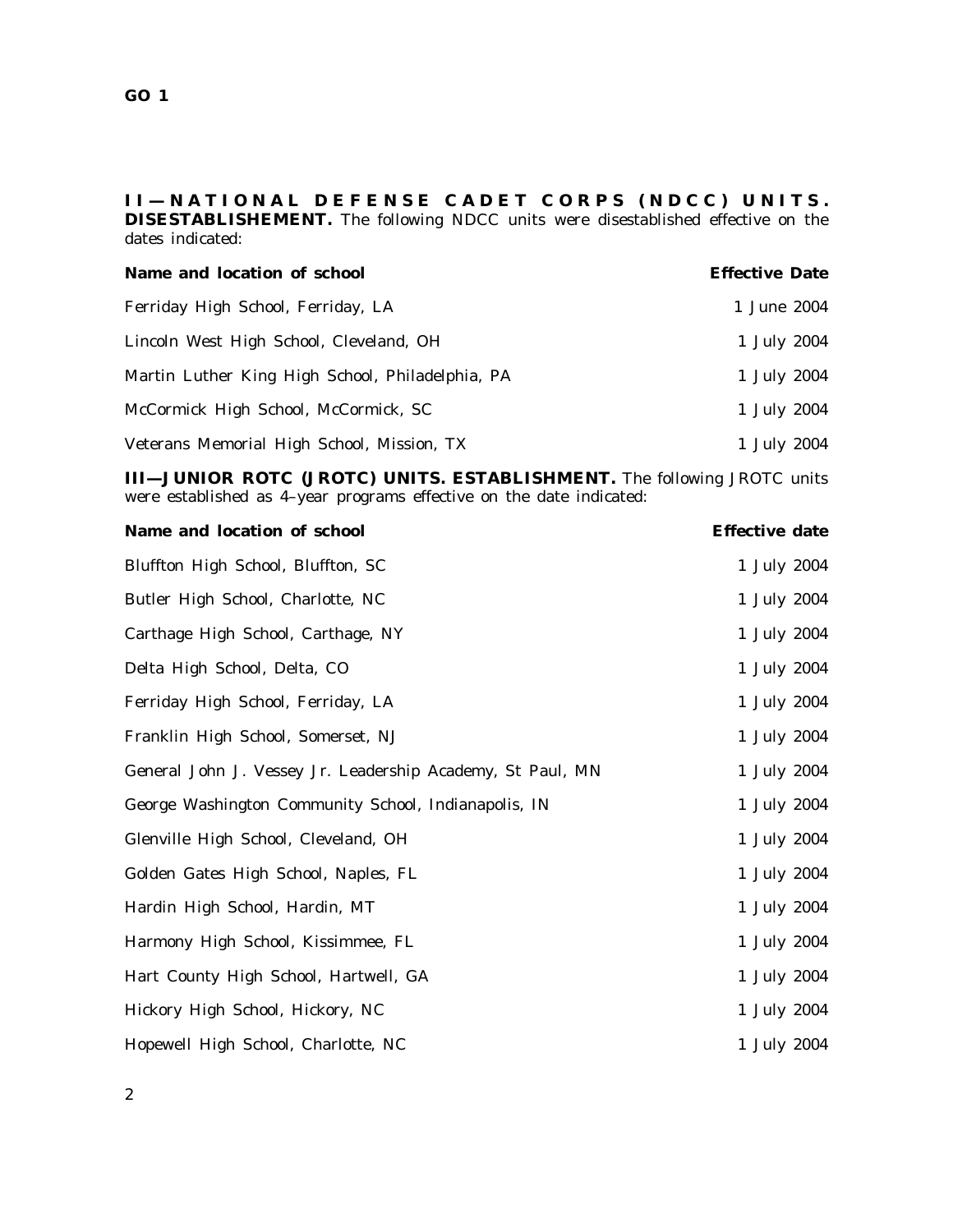## **I I — N A T I O N A L D E F E N S E C A D E T C O R P S ( N D C C ) U N I T S . DISESTABLISHEMENT.** The following NDCC units were disestablished effective on the dates indicated:

| Name and location of school                      | <b>Effective Date</b> |
|--------------------------------------------------|-----------------------|
| Ferriday High School, Ferriday, LA               | 1 June 2004           |
| Lincoln West High School, Cleveland, OH          | 1 July 2004           |
| Martin Luther King High School, Philadelphia, PA | 1 July 2004           |
| McCormick High School, McCormick, SC             | 1 July 2004           |
| Veterans Memorial High School, Mission, TX       | 1 July 2004           |

**III—JUNIOR ROTC (JROTC) UNITS. ESTABLISHMENT.** The following JROTC units were established as 4-year programs effective on the date indicated:

| Name and location of school                                | <b>Effective date</b> |
|------------------------------------------------------------|-----------------------|
| Bluffton High School, Bluffton, SC                         | 1 July 2004           |
| Butler High School, Charlotte, NC                          | 1 July 2004           |
| Carthage High School, Carthage, NY                         | 1 July 2004           |
| Delta High School, Delta, CO                               | 1 July 2004           |
| Ferriday High School, Ferriday, LA                         | 1 July 2004           |
| Franklin High School, Somerset, NJ                         | 1 July 2004           |
| General John J. Vessey Jr. Leadership Academy, St Paul, MN | 1 July 2004           |
| George Washington Community School, Indianapolis, IN       | 1 July 2004           |
| Glenville High School, Cleveland, OH                       | 1 July 2004           |
| Golden Gates High School, Naples, FL                       | 1 July 2004           |
| Hardin High School, Hardin, MT                             | 1 July 2004           |
| Harmony High School, Kissimmee, FL                         | 1 July 2004           |
| Hart County High School, Hartwell, GA                      | 1 July 2004           |
| Hickory High School, Hickory, NC                           | 1 July 2004           |
| Hopewell High School, Charlotte, NC                        | 1 July 2004           |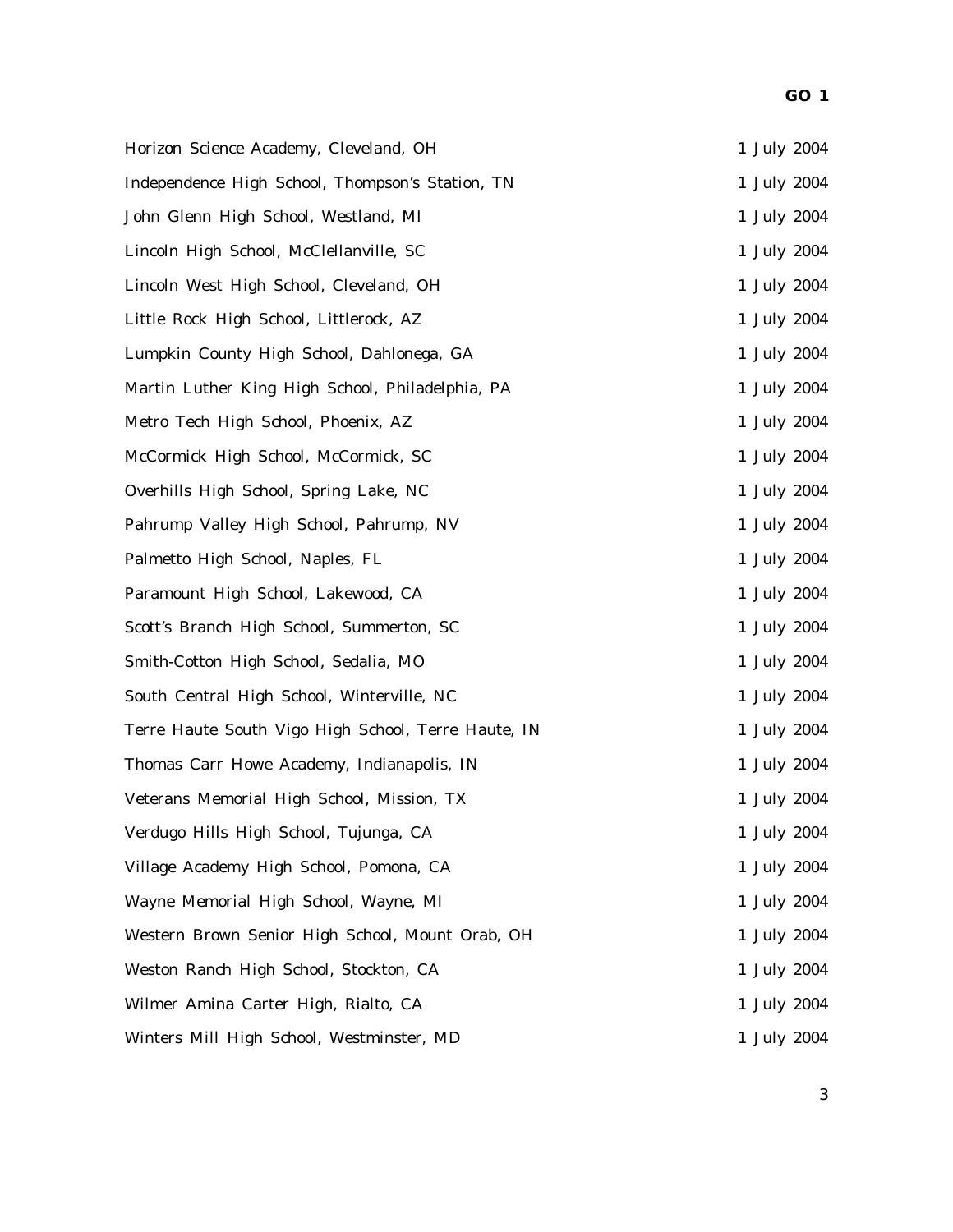| Horizon Science Academy, Cleveland, OH              | 1 July 2004 |
|-----------------------------------------------------|-------------|
| Independence High School, Thompson's Station, TN    | 1 July 2004 |
| John Glenn High School, Westland, MI                | 1 July 2004 |
| Lincoln High School, McClellanville, SC             | 1 July 2004 |
| Lincoln West High School, Cleveland, OH             | 1 July 2004 |
| Little Rock High School, Littlerock, AZ             | 1 July 2004 |
| Lumpkin County High School, Dahlonega, GA           | 1 July 2004 |
| Martin Luther King High School, Philadelphia, PA    | 1 July 2004 |
| Metro Tech High School, Phoenix, AZ                 | 1 July 2004 |
| McCormick High School, McCormick, SC                | 1 July 2004 |
| Overhills High School, Spring Lake, NC              | 1 July 2004 |
| Pahrump Valley High School, Pahrump, NV             | 1 July 2004 |
| Palmetto High School, Naples, FL                    | 1 July 2004 |
| Paramount High School, Lakewood, CA                 | 1 July 2004 |
| Scott's Branch High School, Summerton, SC           | 1 July 2004 |
| Smith-Cotton High School, Sedalia, MO               | 1 July 2004 |
| South Central High School, Winterville, NC          | 1 July 2004 |
| Terre Haute South Vigo High School, Terre Haute, IN | 1 July 2004 |
| Thomas Carr Howe Academy, Indianapolis, IN          | 1 July 2004 |
| Veterans Memorial High School, Mission, TX          | 1 July 2004 |
| Verdugo Hills High School, Tujunga, CA              | 1 July 2004 |
| Village Academy High School, Pomona, CA             | 1 July 2004 |
| Wayne Memorial High School, Wayne, MI               | 1 July 2004 |
| Western Brown Senior High School, Mount Orab, OH    | 1 July 2004 |
| Weston Ranch High School, Stockton, CA              | 1 July 2004 |
| Wilmer Amina Carter High, Rialto, CA                | 1 July 2004 |
| Winters Mill High School, Westminster, MD           | 1 July 2004 |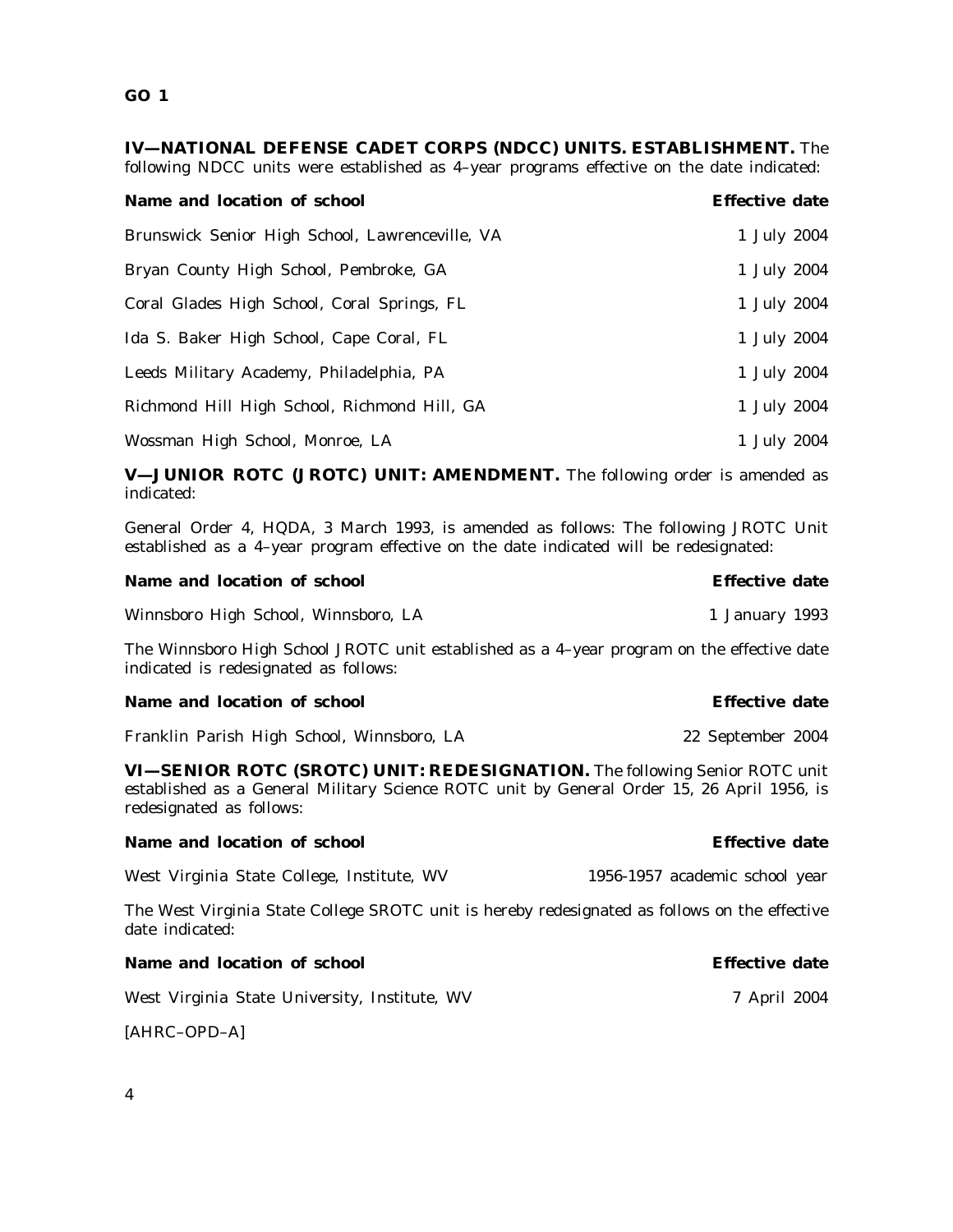**GO 1**

**IV—NATIONAL DEFENSE CADET CORPS (NDCC) UNITS. ESTABLISHMENT.** The following NDCC units were established as 4–year programs effective on the date indicated:

| Name and location of school                     | <b>Effective date</b> |
|-------------------------------------------------|-----------------------|
| Brunswick Senior High School, Lawrenceville, VA | 1 July 2004           |
| Bryan County High School, Pembroke, GA          | 1 July 2004           |
| Coral Glades High School, Coral Springs, FL     | 1 July 2004           |
| Ida S. Baker High School, Cape Coral, FL        | 1 July 2004           |
| Leeds Military Academy, Philadelphia, PA        | 1 July 2004           |
| Richmond Hill High School, Richmond Hill, GA    | 1 July 2004           |
| Wossman High School, Monroe, LA                 | 1 July 2004           |

**V—JUNIOR ROTC (JROTC) UNIT: AMENDMENT.** The following order is amended as indicated:

General Order 4, HQDA, 3 March 1993, is amended as follows: The following JROTC Unit established as a 4–year program effective on the date indicated will be redesignated:

| Name and location of school                     | <b>Effective date</b> |
|-------------------------------------------------|-----------------------|
| Winnsboro High School, Winnsboro, LA            | 1 January 1993        |
| $\blacksquare$<br><b>COLUMN</b><br><b>TTT</b> . |                       |

The Winnsboro High School JROTC unit established as a 4–year program on the effective date indicated is redesignated as follows:

## **Name and location of school example 3 and 2 and 2 and 2 and 2 and 2 and 2 and 2 and 2 and 2 and 2 and 2 and 2 and 2 and 2 and 2 and 2 and 2 and 2 and 2 and 2 and 2 and 2 and 2 and 2 and 2 and 2 and 2 and 2 and 2 and 2 and** Franklin Parish High School, Winnsboro, LA 22 September 2004

**VI—SENIOR ROTC (SROTC) UNIT: REDESIGNATION.** The following Senior ROTC unit established as a General Military Science ROTC unit by General Order 15, 26 April 1956, is redesignated as follows:

| Name and location of school                                                                   | <b>Effective date</b>          |
|-----------------------------------------------------------------------------------------------|--------------------------------|
| West Virginia State College, Institute, WV                                                    | 1956-1957 academic school year |
| The West Virginia State College SROTC unit is hereby redesignated as follows on the effective |                                |

date indicated:

| Name and location of school                   | <b>Effective date</b> |  |
|-----------------------------------------------|-----------------------|--|
| West Virginia State University, Institute, WV | 7 April 2004          |  |

[AHRC–OPD–A]